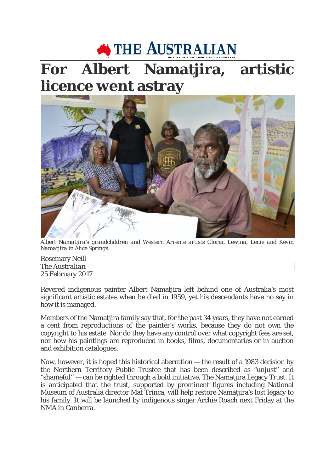## THE AUSTRALIAN

## **For Albert Namatjira, artistic licence went astray**



*Albert Namatjira's grandchildren and Western Arrente artists Gloria, Lewina, Lenie and Kevin Namatjira in Alice Springs.*

Rosemary Neill *The Australian* 25 February 2017

Revered indigenous painter Albert Namatjira left behind one of Australia's most significant artistic estates when he died in 1959, yet his descendants have no say in how it is managed.

Members of the Namatjira family say that, for the past 34 years, they have not earned a cent from reproductions of the painter's works, because they do not own the copyright to his estate. Nor do they have any control over what copyright fees are set, nor how his paintings are reproduced in books, films, documentaries or in auction and exhibition catalogues.

Now, however, it is hoped this historical aberration — the result of a 1983 decision by the Northern Territory Public Trustee that has been described as "unjust'' and "shameful'' — can be righted through a bold initiative, The Namatjira Legacy Trust. It is anticipated that the trust, supported by prominent figures including National Museum of Australia director Mat Trinca, will help restore Namatjira's lost legacy to his family. It will be launched by indigenous singer Archie Roach next Friday at the NMA in Canberra.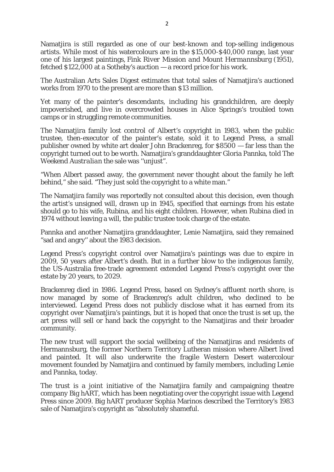Namatjira is still regarded as one of our best-known and top-selling indigenous artists. While most of his watercolours are in the \$15,000-\$40,000 range, last year one of his largest paintings, *Fink River Mission and Mount Hermannsburg* (1951), fetched \$122,000 at a Sotheby's auction — a record price for his work.

The Australian Arts Sales Digest estimates that total sales of Namatjira's auctioned works from 1970 to the present are more than \$13 million.

Yet many of the painter's descendants, including his grandchildren, are deeply impoverished, and live in overcrowded houses in Alice Springs's troubled town camps or in struggling remote communities.

The Namatjira family lost control of Albert's copyright in 1983, when the public trustee, then-executor of the painter's estate, sold it to Legend Press, a small publisher owned by white art dealer John Brackenreg, for \$8500 — far less than the copyright turned out to be worth. Namatjira's granddaughter Gloria Pannka, told *The Weekend Australian* the sale was ''unjust".

"When Albert passed away, the government never thought about the family he left behind," she said. "They just sold the copyright to a white man."

The Namatjira family was reportedly not consulted about this decision, even though the artist's unsigned will, drawn up in 1945, specified that earnings from his estate should go to his wife, Rubina, and his eight children. However, when Rubina died in 1974 without leaving a will, the public trustee took charge of the estate.

Pannka and another Namatjira granddaughter, Lenie Namatjira, said they remained "sad and angry'' about the 1983 decision.

Legend Press's copyright control over Namatjira's paintings was due to expire in 2009, 50 years after Albert's death. But in a further blow to the indigenous family, the US-Australia free-trade agreement extended Legend Press's copyright over the estate by 20 years, to 2029.

Brackenreg died in 1986. Legend Press, based on Sydney's affluent north shore, is now managed by some of Brackenreg's adult children, who declined to be interviewed. Legend Press does not publicly disclose what it has earned from its copyright over Namatjira's paintings, but it is hoped that once the trust is set up, the art press will sell or hand back the copyright to the Namatjiras and their broader community.

The new trust will support the social wellbeing of the Namatjiras and residents of Hermannsburg, the former Northern Territory Lutheran mission where Albert lived and painted. It will also underwrite the fragile Western Desert watercolour movement founded by Namatjira and continued by family members, including Lenie and Pannka, today.

The trust is a joint initiative of the Namatjira family and campaigning theatre company Big hART, which has been negotiating over the copyright issue with Legend Press since 2009. Big hART producer Sophia Marinos described the Territory's 1983 sale of Namatjira's copyright as "absolutely shameful.